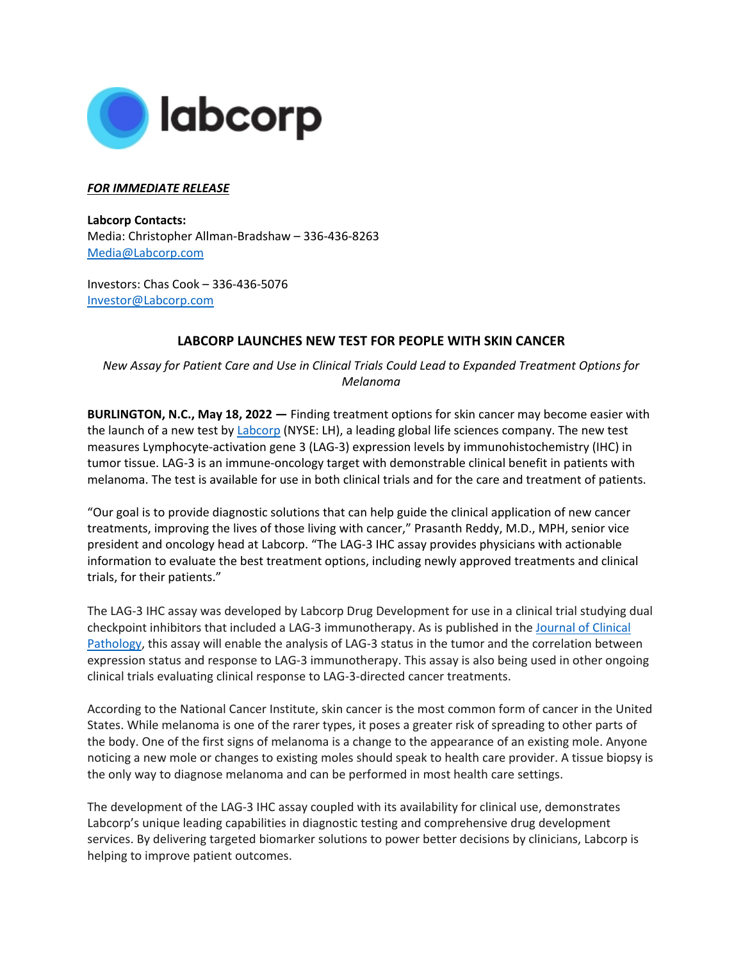

## *FOR IMMEDIATE RELEASE*

**Labcorp Contacts:**  Media: Christopher Allman-Bradshaw – 336-436-8263 [Media@Labcorp.com](mailto:Media@Labcorp.com)

Investors: Chas Cook – 336-436-5076 [Investor@Labcorp.com](mailto:Investor@Labcorp.com)

## **LABCORP LAUNCHES NEW TEST FOR PEOPLE WITH SKIN CANCER**

*New Assay for Patient Care and Use in Clinical Trials Could Lead to Expanded Treatment Options for Melanoma*

**BURLINGTON, N.C., May 18, 2022 —** Finding treatment options for skin cancer may become easier with the launch of a new test b[y Labcorp](https://www.labcorp.com/) (NYSE: LH), a leading global life sciences company. The new test measures Lymphocyte-activation gene 3 (LAG-3) expression levels by immunohistochemistry (IHC) in tumor tissue. LAG-3 is an immune-oncology target with demonstrable clinical benefit in patients with melanoma. The test is available for use in both clinical trials and for the care and treatment of patients.

"Our goal is to provide diagnostic solutions that can help guide the clinical application of new cancer treatments, improving the lives of those living with cancer," Prasanth Reddy, M.D., MPH, senior vice president and oncology head at Labcorp. "The LAG-3 IHC assay provides physicians with actionable information to evaluate the best treatment options, including newly approved treatments and clinical trials, for their patients."

The LAG-3 IHC assay was developed by Labcorp Drug Development for use in a clinical trial studying dual checkpoint inhibitors that included a LAG-3 immunotherapy. As is published in the [Journal of Clinical](https://jcp.bmj.com/content/jclinpath/early/2022/05/08/jclinpath-2022-208254.full.pdf?ijkey=CXLWUWpYa9vCmGG&keytype=ref)  [Pathology,](https://jcp.bmj.com/content/jclinpath/early/2022/05/08/jclinpath-2022-208254.full.pdf?ijkey=CXLWUWpYa9vCmGG&keytype=ref) this assay will enable the analysis of LAG-3 status in the tumor and the correlation between expression status and response to LAG-3 immunotherapy. This assay is also being used in other ongoing clinical trials evaluating clinical response to LAG-3-directed cancer treatments.

According to the National Cancer Institute, skin cancer is the most common form of cancer in the United States. While melanoma is one of the rarer types, it poses a greater risk of spreading to other parts of the body. One of the first signs of melanoma is a change to the appearance of an existing mole. Anyone noticing a new mole or changes to existing moles should speak to health care provider. A tissue biopsy is the only way to diagnose melanoma and can be performed in most health care settings.

The development of the LAG-3 IHC assay coupled with its availability for clinical use, demonstrates Labcorp's unique leading capabilities in diagnostic testing and comprehensive drug development services. By delivering targeted biomarker solutions to power better decisions by clinicians, Labcorp is helping to improve patient outcomes.